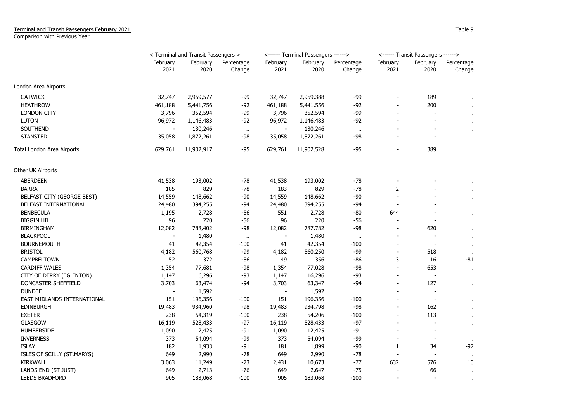## Terminal and Transit Passengers February 2021 Comparison with Previous Year

|                             | < Terminal and Transit Passengers > |                  |                      | <------ Terminal Passengers ------> |                  |                      | <------ Transit Passengers ------> |                          |                      |
|-----------------------------|-------------------------------------|------------------|----------------------|-------------------------------------|------------------|----------------------|------------------------------------|--------------------------|----------------------|
|                             | February<br>2021                    | February<br>2020 | Percentage<br>Change | February<br>2021                    | February<br>2020 | Percentage<br>Change | February<br>2021                   | February<br>2020         | Percentage<br>Change |
| London Area Airports        |                                     |                  |                      |                                     |                  |                      |                                    |                          |                      |
| <b>GATWICK</b>              | 32,747                              | 2,959,577        | -99                  | 32,747                              | 2,959,388        | -99                  |                                    | 189                      |                      |
| <b>HEATHROW</b>             | 461,188                             | 5,441,756        | $-92$                | 461,188                             | 5,441,556        | $-92$                |                                    | 200                      | $\ddot{\phantom{1}}$ |
| <b>LONDON CITY</b>          | 3,796                               | 352,594          | $-99$                | 3,796                               | 352,594          | $-99$                |                                    |                          | $\sim$               |
| <b>LUTON</b>                | 96,972                              | 1,146,483        | -92                  | 96,972                              | 1,146,483        | $-92$                |                                    |                          | $\mathbf{u}$         |
| <b>SOUTHEND</b>             |                                     | 130,246          | $\ddot{\phantom{1}}$ |                                     | 130,246          | $\ddot{\phantom{1}}$ |                                    |                          | $\mathbf{u}$         |
| <b>STANSTED</b>             | 35,058                              | 1,872,261        | -98                  | 35,058                              | 1,872,261        | -98                  |                                    |                          | $\sim$               |
| Total London Area Airports  | 629,761                             | 11,902,917       | $-95$                | 629,761                             | 11,902,528       | $-95$                |                                    | 389                      | $\ddot{\phantom{1}}$ |
| Other UK Airports           |                                     |                  |                      |                                     |                  |                      |                                    |                          |                      |
| <b>ABERDEEN</b>             | 41,538                              | 193,002          | $-78$                | 41,538                              | 193,002          | $-78$                |                                    |                          |                      |
| <b>BARRA</b>                | 185                                 | 829              | $-78$                | 183                                 | 829              | $-78$                | 2                                  |                          |                      |
| BELFAST CITY (GEORGE BEST)  | 14,559                              | 148,662          | $-90$                | 14,559                              | 148,662          | $-90$                |                                    |                          | $\mathbf{r}$         |
| BELFAST INTERNATIONAL       | 24,480                              | 394,255          | -94                  | 24,480                              | 394,255          | -94                  | $\overline{\phantom{a}}$           |                          | $\mathbf{r}$         |
| <b>BENBECULA</b>            | 1,195                               | 2,728            | -56                  | 551                                 | 2,728            | -80                  | 644                                |                          | $\blacksquare$       |
| <b>BIGGIN HILL</b>          | 96                                  | 220              | -56                  | 96                                  | 220              | -56                  |                                    |                          | $\mathbf{r}$         |
| <b>BIRMINGHAM</b>           | 12,082                              | 788,402          | -98                  | 12,082                              | 787,782          | -98                  |                                    | 620                      | $\ddot{\phantom{1}}$ |
| <b>BLACKPOOL</b>            |                                     | 1,480            | $\cdot$ .            |                                     | 1,480            | $\alpha$             |                                    |                          | $\mathbf{u}$         |
| <b>BOURNEMOUTH</b>          | 41                                  | 42,354           | $-100$               | 41                                  | 42,354           | $-100$               |                                    | $\overline{\phantom{a}}$ | $\sim$               |
| <b>BRISTOL</b>              | 4,182                               | 560,768          | $-99$                | 4,182                               | 560,250          | $-99$                | $\overline{\phantom{a}}$           | 518                      | $\sim$               |
| CAMPBELTOWN                 | 52                                  | 372              | $-86$                | 49                                  | 356              | -86                  | 3                                  | 16                       | -81                  |
| CARDIFF WALES               | 1,354                               | 77,681           | -98                  | 1,354                               | 77,028           | $-98$                | $\sim$                             | 653                      | $\mathbf{H}$         |
| CITY OF DERRY (EGLINTON)    | 1,147                               | 16,296           | $-93$                | 1,147                               | 16,296           | $-93$                | $\overline{\phantom{a}}$           | $\overline{a}$           | $\sim$               |
| DONCASTER SHEFFIELD         | 3,703                               | 63,474           | -94                  | 3,703                               | 63,347           | $-94$                | $\overline{\phantom{a}}$           | 127                      | $\sim$               |
| <b>DUNDEE</b>               |                                     | 1,592            | $\ddot{\phantom{1}}$ | $\overline{\phantom{a}}$            | 1,592            | $\ddot{\phantom{1}}$ | $\overline{\phantom{a}}$           | $\blacksquare$           | $\ddot{\phantom{1}}$ |
| EAST MIDLANDS INTERNATIONAL | 151                                 | 196,356          | -100                 | 151                                 | 196,356          | -100                 |                                    | $\overline{\phantom{a}}$ | $\cdots$             |
| <b>EDINBURGH</b>            | 19,483                              | 934,960          | -98                  | 19,483                              | 934,798          | $-98$                | $\blacksquare$                     | 162                      | $\sim$               |
| <b>EXETER</b>               | 238                                 | 54,319           | $-100$               | 238                                 | 54,206           | $-100$               | $\overline{\phantom{a}}$           | 113                      | $\sim$               |
| <b>GLASGOW</b>              | 16,119                              | 528,433          | $-97$                | 16,119                              | 528,433          | $-97$                | $\overline{\phantom{a}}$           |                          | $\mathbf{H}$         |
| <b>HUMBERSIDE</b>           | 1,090                               | 12,425           | -91                  | 1,090                               | 12,425           | -91                  |                                    | $\overline{\phantom{a}}$ | $\sim$               |
| <b>INVERNESS</b>            | 373                                 | 54,094           | $-99$                | 373                                 | 54,094           | -99                  |                                    |                          | $\sim$               |
| <b>ISLAY</b>                | 182                                 | 1,933            | $-91$                | 181                                 | 1,899            | $-90$                | 1                                  | 34                       | $-97$                |
| ISLES OF SCILLY (ST.MARYS)  | 649                                 | 2,990            | $-78$                | 649                                 | 2,990            | $-78$                |                                    |                          | $\sim$               |
| KIRKWALL                    | 3,063                               | 11,249           | $-73$                | 2,431                               | 10,673           | $-77$                | 632                                | 576                      | 10                   |
| LANDS END (ST JUST)         | 649                                 | 2,713            | -76                  | 649                                 | 2,647            | $-75$                |                                    | 66                       | $\sim$               |
| <b>LEEDS BRADFORD</b>       | 905                                 | 183,068          | $-100$               | 905                                 | 183,068          | $-100$               |                                    |                          | $\cdots$             |